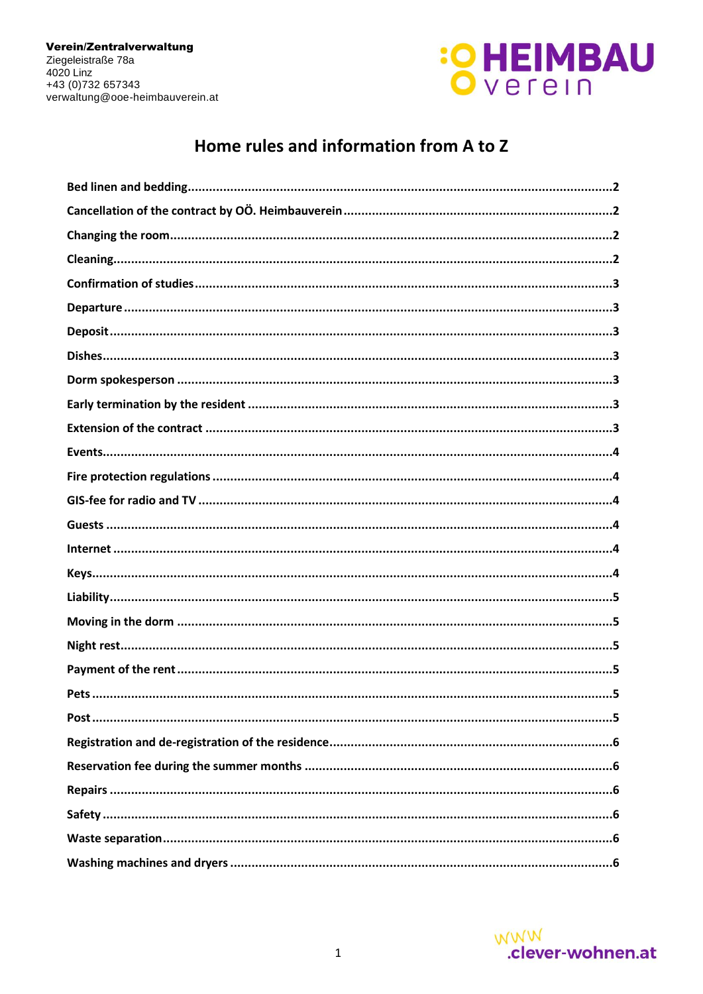

# Home rules and information from A to Z

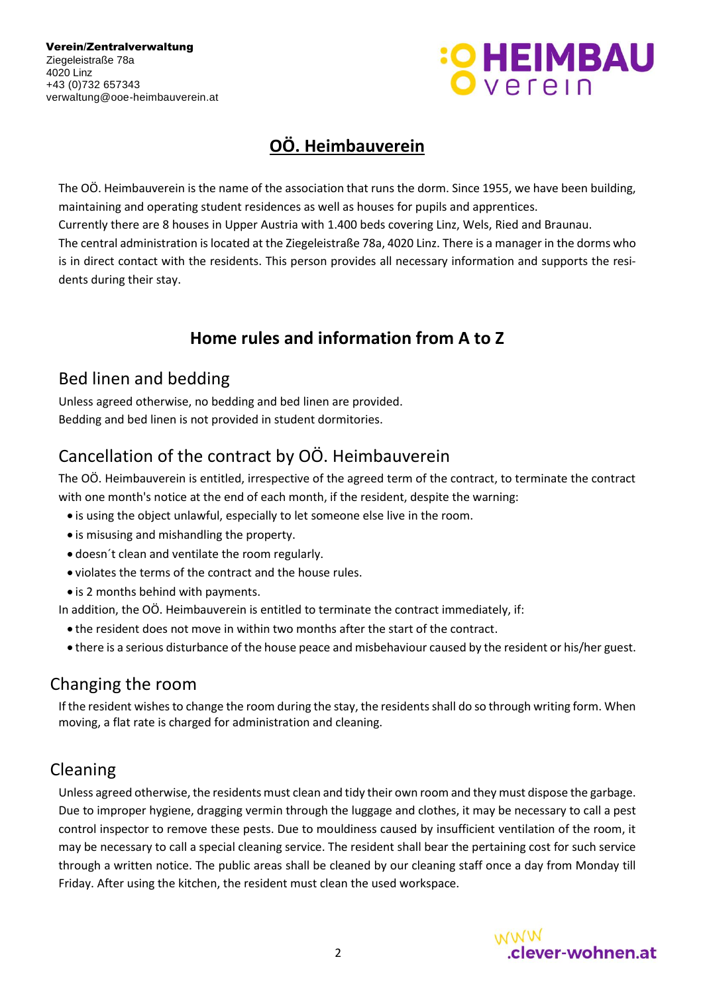

# **OÖ. Heimbauverein**

The OÖ. Heimbauverein is the name of the association that runs the dorm. Since 1955, we have been building, maintaining and operating student residences as well as houses for pupils and apprentices. Currently there are 8 houses in Upper Austria with 1.400 beds covering Linz, Wels, Ried and Braunau. The central administration is located at the Ziegeleistraße 78a, 4020 Linz. There is a manager in the dorms who is in direct contact with the residents. This person provides all necessary information and supports the residents during their stay.

# **Home rules and information from A to Z**

## <span id="page-1-0"></span>Bed linen and bedding

Unless agreed otherwise, no bedding and bed linen are provided. Bedding and bed linen is not provided in student dormitories.

# <span id="page-1-1"></span>Cancellation of the contract by OÖ. Heimbauverein

The OÖ. Heimbauverein is entitled, irrespective of the agreed term of the contract, to terminate the contract with one month's notice at the end of each month, if the resident, despite the warning:

- is using the object unlawful, especially to let someone else live in the room.
- is misusing and mishandling the property.
- doesn´t clean and ventilate the room regularly.
- violates the terms of the contract and the house rules.
- is 2 months behind with payments.

In addition, the OÖ. Heimbauverein is entitled to terminate the contract immediately, if:

- the resident does not move in within two months after the start of the contract.
- there is a serious disturbance of the house peace and misbehaviour caused by the resident or his/her guest.

### <span id="page-1-2"></span>Changing the room

If the resident wishes to change the room during the stay, the residents shall do so through writing form. When moving, a flat rate is charged for administration and cleaning.

### Cleaning

Unless agreed otherwise, the residents must clean and tidy their own room and they must dispose the garbage. Due to improper hygiene, dragging vermin through the luggage and clothes, it may be necessary to call a pest control inspector to remove these pests. Due to mouldiness caused by insufficient ventilation of the room, it may be necessary to call a special cleaning service. The resident shall bear the pertaining cost for such service through a written notice. The public areas shall be cleaned by our cleaning staff once a day from Monday till Friday. After using the kitchen, the resident must clean the used workspace.

<span id="page-1-3"></span>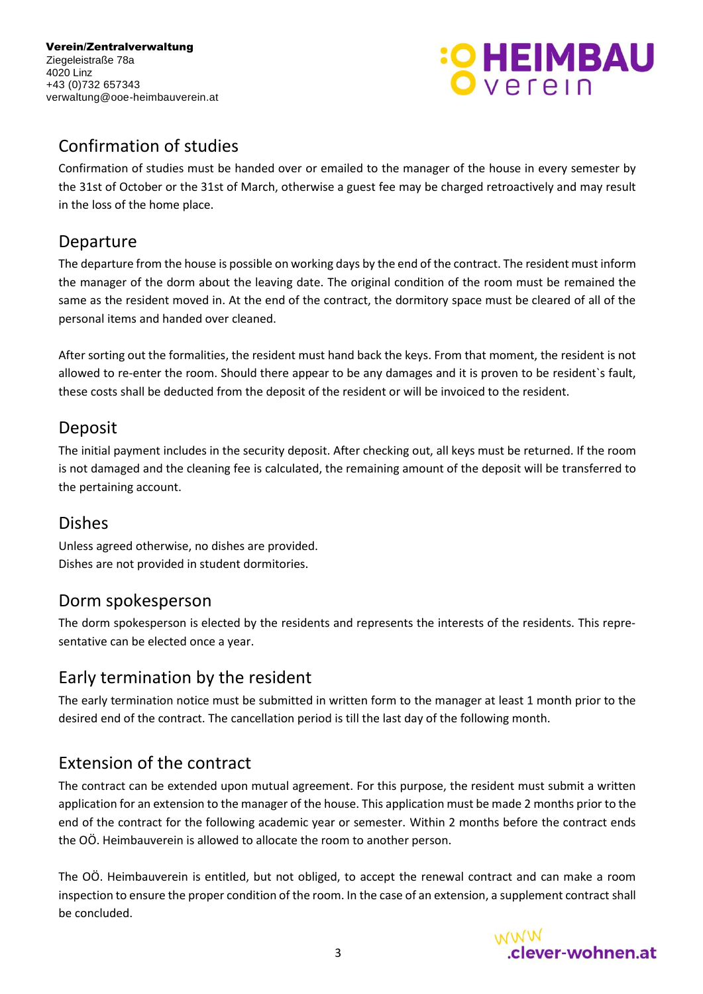Verein/Zentralverwaltung Ziegeleistraße 78a 4020 Linz +43 (0)732 657343 verwaltung@ooe-heimbauverein.at



# <span id="page-2-0"></span>Confirmation of studies

Confirmation of studies must be handed over or emailed to the manager of the house in every semester by the 31st of October or the 31st of March, otherwise a guest fee may be charged retroactively and may result in the loss of the home place.

#### <span id="page-2-1"></span>Departure

The departure from the house is possible on working days by the end of the contract. The resident must inform the manager of the dorm about the leaving date. The original condition of the room must be remained the same as the resident moved in. At the end of the contract, the dormitory space must be cleared of all of the personal items and handed over cleaned.

After sorting out the formalities, the resident must hand back the keys. From that moment, the resident is not allowed to re-enter the room. Should there appear to be any damages and it is proven to be resident`s fault, these costs shall be deducted from the deposit of the resident or will be invoiced to the resident.

### <span id="page-2-2"></span>Deposit

The initial payment includes in the security deposit. After checking out, all keys must be returned. If the room is not damaged and the cleaning fee is calculated, the remaining amount of the deposit will be transferred to the pertaining account.

### <span id="page-2-3"></span>Dishes

Unless agreed otherwise, no dishes are provided. Dishes are not provided in student dormitories.

### <span id="page-2-4"></span>Dorm spokesperson

<span id="page-2-5"></span>The dorm spokesperson is elected by the residents and represents the interests of the residents. This representative can be elected once a year.

# Early termination by the resident

The early termination notice must be submitted in written form to the manager at least 1 month prior to the desired end of the contract. The cancellation period is till the last day of the following month.

### <span id="page-2-6"></span>Extension of the contract

The contract can be extended upon mutual agreement. For this purpose, the resident must submit a written application for an extension to the manager of the house. This application must be made 2 months prior to the end of the contract for the following academic year or semester. Within 2 months before the contract ends the OÖ. Heimbauverein is allowed to allocate the room to another person.

The OÖ. Heimbauverein is entitled, but not obliged, to accept the renewal contract and can make a room inspection to ensure the proper condition of the room. In the case of an extension, a supplement contract shall be concluded.

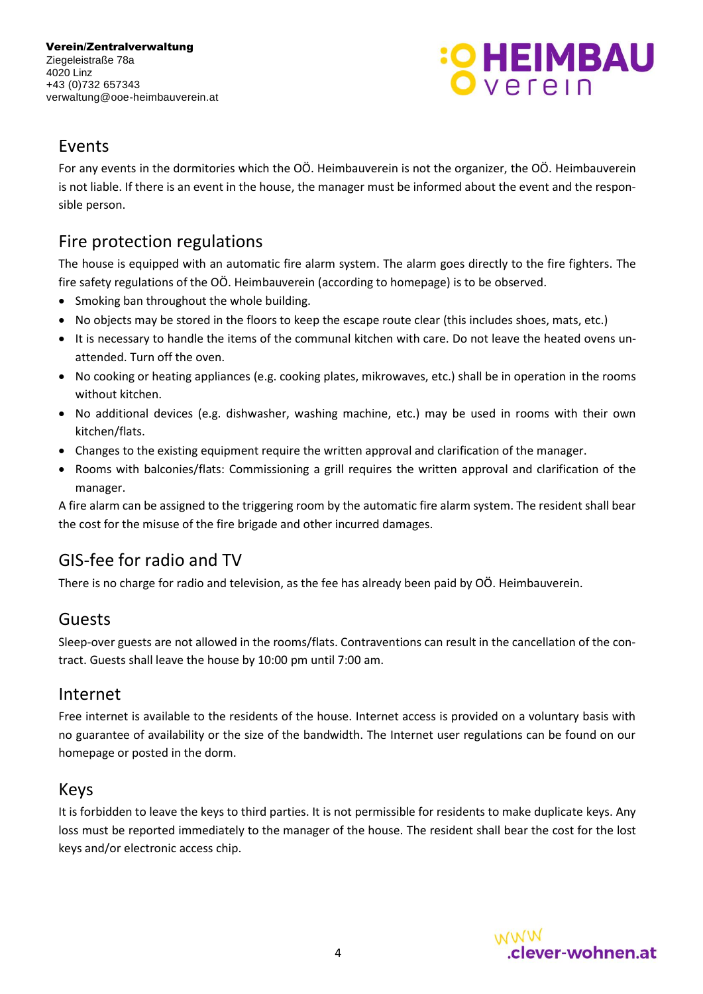

#### <span id="page-3-0"></span>Events

For any events in the dormitories which the OÖ. Heimbauverein is not the organizer, the OÖ. Heimbauverein is not liable. If there is an event in the house, the manager must be informed about the event and the responsible person.

# <span id="page-3-1"></span>Fire protection regulations

The house is equipped with an automatic fire alarm system. The alarm goes directly to the fire fighters. The fire safety regulations of the OÖ. Heimbauverein (according to homepage) is to be observed.

- Smoking ban throughout the whole building.
- No objects may be stored in the floors to keep the escape route clear (this includes shoes, mats, etc.)
- It is necessary to handle the items of the communal kitchen with care. Do not leave the heated ovens unattended. Turn off the oven.
- No cooking or heating appliances (e.g. cooking plates, mikrowaves, etc.) shall be in operation in the rooms without kitchen.
- No additional devices (e.g. dishwasher, washing machine, etc.) may be used in rooms with their own kitchen/flats.
- Changes to the existing equipment require the written approval and clarification of the manager.
- Rooms with balconies/flats: Commissioning a grill requires the written approval and clarification of the manager.

<span id="page-3-2"></span>A fire alarm can be assigned to the triggering room by the automatic fire alarm system. The resident shall bear the cost for the misuse of the fire brigade and other incurred damages.

### GIS-fee for radio and TV

There is no charge for radio and television, as the fee has already been paid by OÖ. Heimbauverein.

#### Guests

Sleep-over guests are not allowed in the rooms/flats. Contraventions can result in the cancellation of the contract. Guests shall leave the house by 10:00 pm until 7:00 am.

#### <span id="page-3-5"></span>Internet

Free internet is available to the residents of the house. Internet access is provided on a voluntary basis with no guarantee of availability or the size of the bandwidth. The Internet user regulations can be found on our homepage or posted in the dorm.

#### Keys

It is forbidden to leave the keys to third parties. It is not permissible for residents to make duplicate keys. Any loss must be reported immediately to the manager of the house. The resident shall bear the cost for the lost keys and/or electronic access chip.

<span id="page-3-4"></span><span id="page-3-3"></span>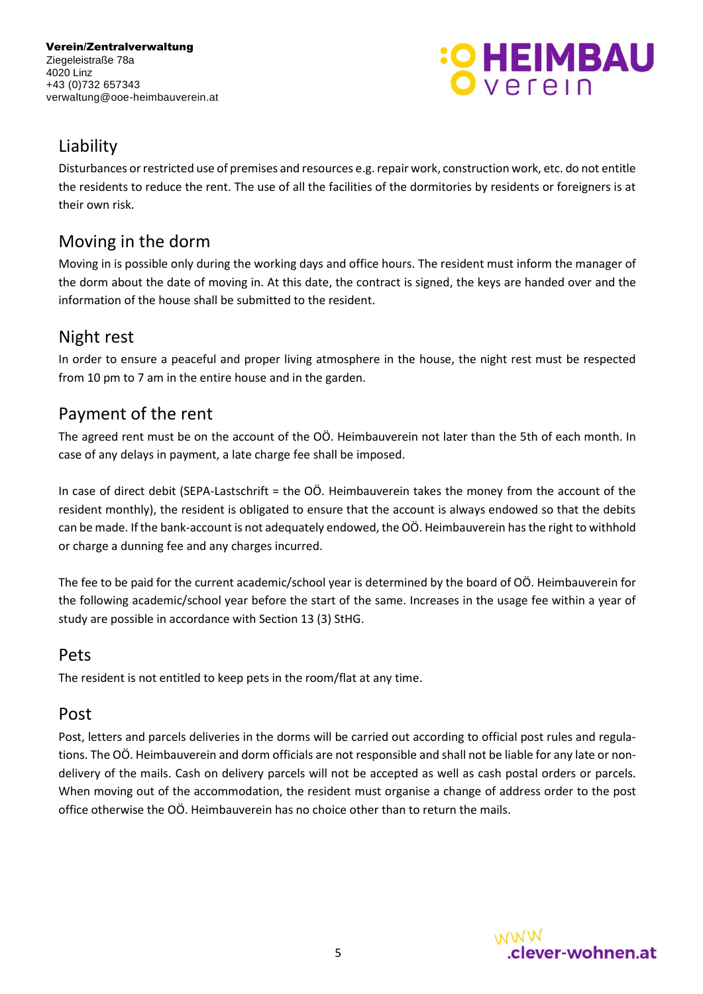

# <span id="page-4-0"></span>Liability

Disturbances or restricted use of premises and resources e.g. repair work, construction work, etc. do not entitle the residents to reduce the rent. The use of all the facilities of the dormitories by residents or foreigners is at their own risk.

## <span id="page-4-1"></span>Moving in the dorm

Moving in is possible only during the working days and office hours. The resident must inform the manager of the dorm about the date of moving in. At this date, the contract is signed, the keys are handed over and the information of the house shall be submitted to the resident.

# <span id="page-4-2"></span>Night rest

In order to ensure a peaceful and proper living atmosphere in the house, the night rest must be respected from 10 pm to 7 am in the entire house and in the garden.

# <span id="page-4-3"></span>Payment of the rent

The agreed rent must be on the account of the OÖ. Heimbauverein not later than the 5th of each month. In case of any delays in payment, a late charge fee shall be imposed.

In case of direct debit (SEPA-Lastschrift = the OÖ. Heimbauverein takes the money from the account of the resident monthly), the resident is obligated to ensure that the account is always endowed so that the debits can be made. If the bank-account is not adequately endowed, the OÖ. Heimbauverein has the right to withhold or charge a dunning fee and any charges incurred.

The fee to be paid for the current academic/school year is determined by the board of OÖ. Heimbauverein for the following academic/school year before the start of the same. Increases in the usage fee within a year of study are possible in accordance with Section 13 (3) StHG.

### <span id="page-4-4"></span>Pets

The resident is not entitled to keep pets in the room/flat at any time.

#### <span id="page-4-5"></span>Post

Post, letters and parcels deliveries in the dorms will be carried out according to official post rules and regulations. The OÖ. Heimbauverein and dorm officials are not responsible and shall not be liable for any late or nondelivery of the mails. Cash on delivery parcels will not be accepted as well as cash postal orders or parcels. When moving out of the accommodation, the resident must organise a change of address order to the post office otherwise the OÖ. Heimbauverein has no choice other than to return the mails.